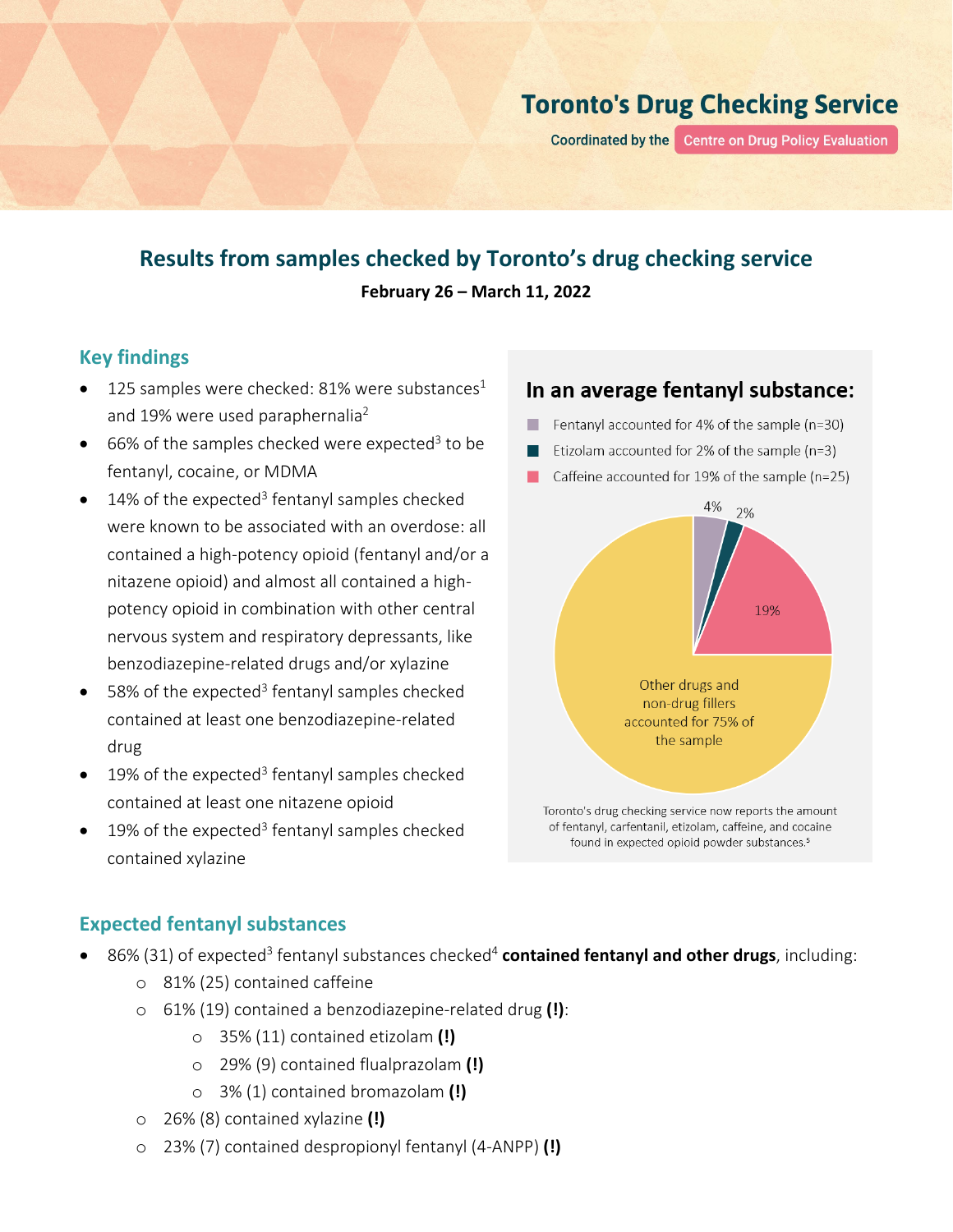# **Toronto's Drug Checking Service**

**Coordinated by the** Centre on Drug Policy Evaluation

# **Results from samples checked by Toronto's drug checking service February 26 – March 11, 2022**

## **Key findings**

- 125 samples were checked: 81% were substances<sup>1</sup> and 19% were used paraphernalia<sup>2</sup>
- 66% of the samples checked were expected<sup>3</sup> to be fentanyl, cocaine, or MDMA
- $\bullet$  14% of the expected<sup>3</sup> fentanyl samples checked were known to be associated with an overdose: all contained a high-potency opioid (fentanyl and/or a nitazene opioid) and almost all contained a highpotency opioid in combination with other central nervous system and respiratory depressants, like benzodiazepine-related drugs and/or xylazine
- 58% of the expected<sup>3</sup> fentanyl samples checked contained at least one benzodiazepine-related drug
- 19% of the expected<sup>3</sup> fentanyl samples checked contained at least one nitazene opioid
- $\bullet$  19% of the expected<sup>3</sup> fentanyl samples checked contained xylazine

## In an average fentanyl substance:

- Fentanyl accounted for 4% of the sample (n=30)
- Etizolam accounted for 2% of the sample (n=3)
- Caffeine accounted for 19% of the sample (n=25)



#### **Expected fentanyl substances**

- 86% (31) of expected<sup>3</sup> fentanyl substances checked<sup>4</sup> contained fentanyl and other drugs, including:
	- o 81% (25) contained caffeine
	- o 61% (19) contained a benzodiazepine-related drug **(!)**:
		- o 35% (11) contained etizolam **(!)**
		- o 29% (9) contained flualprazolam **(!)**
		- o 3% (1) contained bromazolam **(!)**
	- o 26% (8) contained xylazine **(!)**
	- o 23% (7) contained despropionyl fentanyl (4-ANPP) **(!)**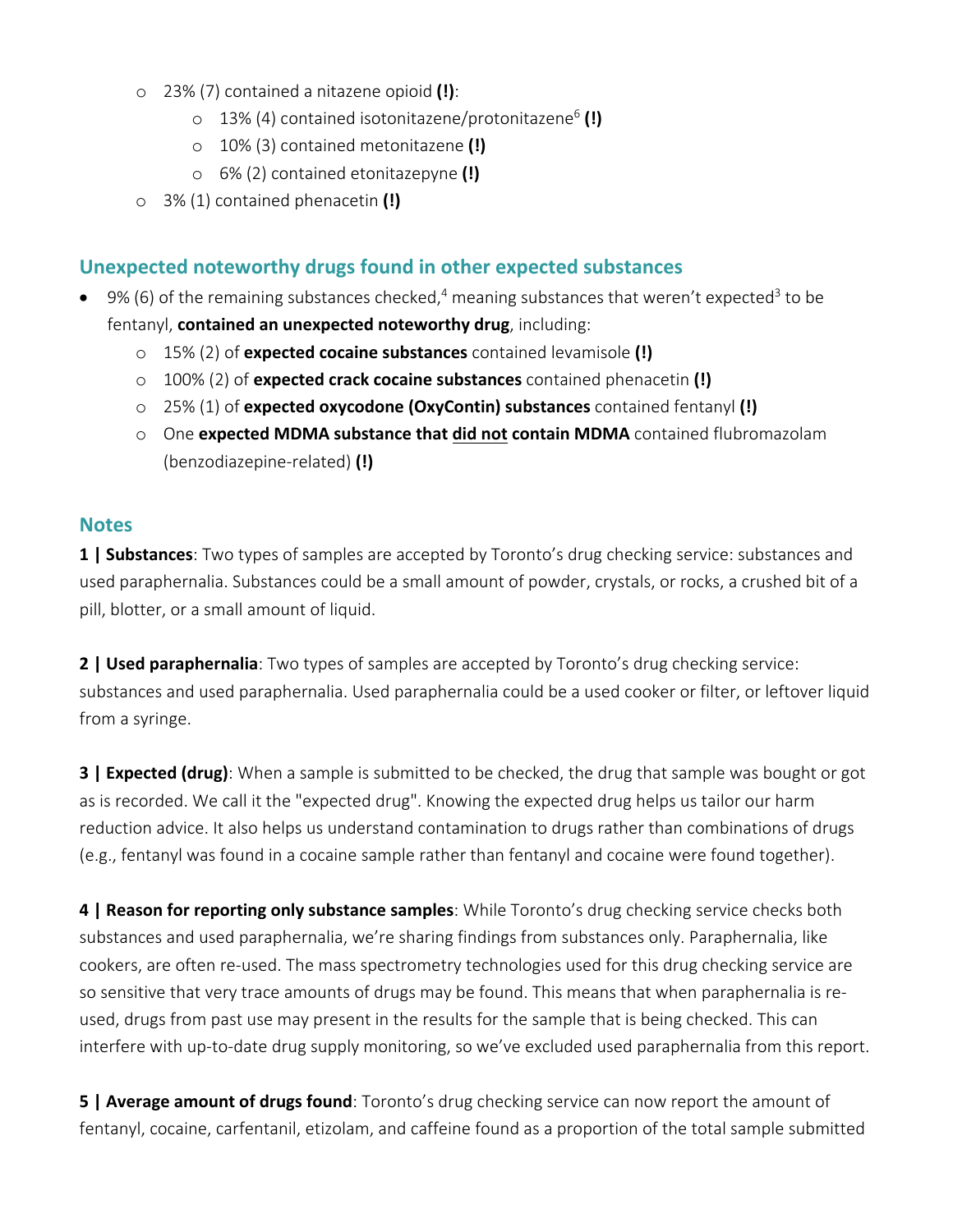- o 23% (7) contained a nitazene opioid **(!)**:
	- o 13% (4) contained isotonitazene/protonitazene6 **(!)**
	- o 10% (3) contained metonitazene **(!)**
	- o 6% (2) contained etonitazepyne **(!)**
- o 3% (1) contained phenacetin **(!)**

### **Unexpected noteworthy drugs found in other expected substances**

- 9% (6) of the remaining substances checked,<sup>4</sup> meaning substances that weren't expected<sup>3</sup> to be fentanyl, **contained an unexpected noteworthy drug**, including:
	- o 15% (2) of **expected cocaine substances** contained levamisole **(!)**
	- o 100% (2) of **expected crack cocaine substances** contained phenacetin **(!)**
	- o 25% (1) of **expected oxycodone (OxyContin) substances** contained fentanyl **(!)**
	- o One **expected MDMA substance that did not contain MDMA** contained flubromazolam (benzodiazepine-related) **(!)**

#### **Notes**

**1 | Substances**: Two types of samples are accepted by Toronto's drug checking service: substances and used paraphernalia. Substances could be a small amount of powder, crystals, or rocks, a crushed bit of a pill, blotter, or a small amount of liquid.

**2 | Used paraphernalia**: Two types of samples are accepted by Toronto's drug checking service: substances and used paraphernalia. Used paraphernalia could be a used cooker or filter, or leftover liquid from a syringe.

**3 | Expected (drug)**: When a sample is submitted to be checked, the drug that sample was bought or got as is recorded. We call it the "expected drug". Knowing the expected drug helps us tailor our harm reduction advice. It also helps us understand contamination to drugs rather than combinations of drugs (e.g., fentanyl was found in a cocaine sample rather than fentanyl and cocaine were found together).

**4 | Reason for reporting only substance samples**: While Toronto's drug checking service checks both substances and used paraphernalia, we're sharing findings from substances only. Paraphernalia, like cookers, are often re-used. The mass spectrometry technologies used for this drug checking service are so sensitive that very trace amounts of drugs may be found. This means that when paraphernalia is reused, drugs from past use may present in the results for the sample that is being checked. This can interfere with up-to-date drug supply monitoring, so we've excluded used paraphernalia from this report.

**5 | Average amount of drugs found**: Toronto's drug checking service can now report the amount of fentanyl, cocaine, carfentanil, etizolam, and caffeine found as a proportion of the total sample submitted